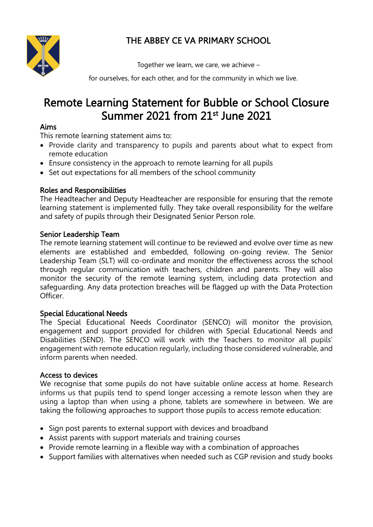

## THE ABBEY CE VA PRIMARY SCHOOL

Together we learn, we care, we achieve –

for ourselves, for each other, and for the community in which we live.

# Remote Learning Statement for Bubble or School Closure Summer 2021 from 21st June 2021

#### Aims

This remote learning statement aims to:

- Provide clarity and transparency to pupils and parents about what to expect from remote education
- Ensure consistency in the approach to remote learning for all pupils
- Set out expectations for all members of the school community

#### Roles and Responsibilities

The Headteacher and Deputy Headteacher are responsible for ensuring that the remote learning statement is implemented fully. They take overall responsibility for the welfare and safety of pupils through their Designated Senior Person role.

#### Senior Leadership Team

The remote learning statement will continue to be reviewed and evolve over time as new elements are established and embedded, following on-going review. The Senior Leadership Team (SLT) will co-ordinate and monitor the effectiveness across the school through regular communication with teachers, children and parents. They will also monitor the security of the remote learning system, including data protection and safeguarding. Any data protection breaches will be flagged up with the Data Protection Officer.

#### Special Educational Needs

The Special Educational Needs Coordinator (SENCO) will monitor the provision, engagement and support provided for children with Special Educational Needs and Disabilities (SEND). The SENCO will work with the Teachers to monitor all pupils' engagement with remote education regularly, including those considered vulnerable, and inform parents when needed.

#### Access to devices

We recognise that some pupils do not have suitable online access at home. Research informs us that pupils tend to spend longer accessing a remote lesson when they are using a laptop than when using a phone, tablets are somewhere in between. We are taking the following approaches to support those pupils to access remote education:

- Sign post parents to external support with devices and broadband
- Assist parents with support materials and training courses
- Provide remote learning in a flexible way with a combination of approaches
- Support families with alternatives when needed such as CGP revision and study books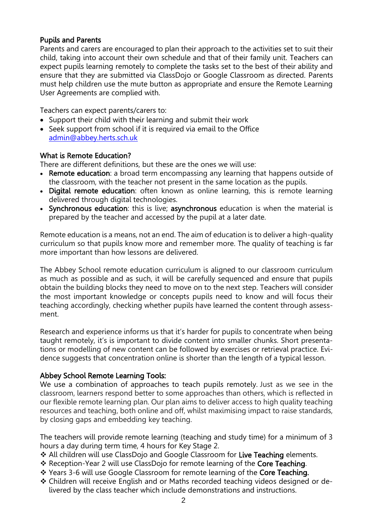#### Pupils and Parents

Parents and carers are encouraged to plan their approach to the activities set to suit their child, taking into account their own schedule and that of their family unit. Teachers can expect pupils learning remotely to complete the tasks set to the best of their ability and ensure that they are submitted via ClassDojo or Google Classroom as directed. Parents must help children use the mute button as appropriate and ensure the Remote Learning User Agreements are complied with.

Teachers can expect parents/carers to:

- Support their child with their learning and submit their work
- Seek support from school if it is required via email to the Office [admin@abbey.herts.sch.uk](mailto:admin@abbey.herts.sch.uk)

## What is Remote Education?

There are different definitions, but these are the ones we will use:

- Remote education: a broad term encompassing any learning that happens outside of the classroom, with the teacher not present in the same location as the pupils.
- Digital remote education: often known as online learning, this is remote learning delivered through digital technologies.
- Synchronous education: this is live; asynchronous education is when the material is prepared by the teacher and accessed by the pupil at a later date.

Remote education is a means, not an end. The aim of education is to deliver a high-quality curriculum so that pupils know more and remember more. The quality of teaching is far more important than how lessons are delivered.

The Abbey School remote education curriculum is aligned to our classroom curriculum as much as possible and as such, it will be carefully sequenced and ensure that pupils obtain the building blocks they need to move on to the next step. Teachers will consider the most important knowledge or concepts pupils need to know and will focus their teaching accordingly, checking whether pupils have learned the content through assessment.

Research and experience informs us that it's harder for pupils to concentrate when being taught remotely, it's is important to divide content into smaller chunks. Short presentations or modelling of new content can be followed by exercises or retrieval practice. Evidence suggests that concentration online is shorter than the length of a typical lesson.

#### Abbey School Remote Learning Tools:

We use a combination of approaches to teach pupils remotely. Just as we see in the classroom, learners respond better to some approaches than others, which is reflected in our flexible remote learning plan. Our plan aims to deliver access to high quality teaching resources and teaching, both online and off, whilst maximising impact to raise standards, by closing gaps and embedding key teaching.

The teachers will provide remote learning (teaching and study time) for a minimum of 3 hours a day during term time, 4 hours for Key Stage 2.

- \* All children will use ClassDojo and Google Classroom for Live Teaching elements.
- \* Reception-Year 2 will use ClassDojo for remote learning of the Core Teaching.
- \* Years 3-6 will use Google Classroom for remote learning of the Core Teaching.
- Children will receive English and or Maths recorded teaching videos designed or delivered by the class teacher which include demonstrations and instructions.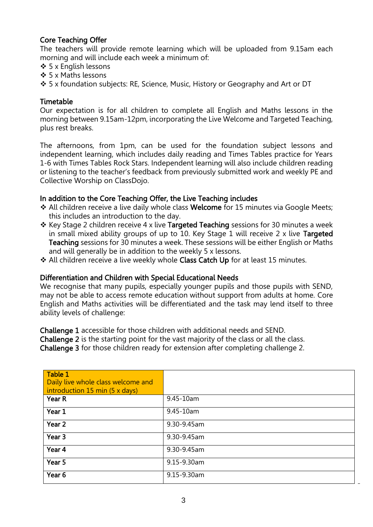### Core Teaching Offer

The teachers will provide remote learning which will be uploaded from 9.15am each morning and will include each week a minimum of:

- $\div$  5 x English lessons
- ❖ 5 x Maths lessons
- 5 x foundation subjects: RE, Science, Music, History or Geography and Art or DT

#### Timetable

Our expectation is for all children to complete all English and Maths lessons in the morning between 9.15am-12pm, incorporating the Live Welcome and Targeted Teaching, plus rest breaks.

The afternoons, from 1pm, can be used for the foundation subject lessons and independent learning, which includes daily reading and Times Tables practice for Years 1-6 with Times Tables Rock Stars. Independent learning will also include children reading or listening to the teacher's feedback from previously submitted work and weekly PE and Collective Worship on ClassDojo.

#### In addition to the Core Teaching Offer, the Live Teaching includes

- \* All children receive a live daily whole class Welcome for 15 minutes via Google Meets; this includes an introduction to the day.
- $\div$  Key Stage 2 children receive 4 x live Targeted Teaching sessions for 30 minutes a week in small mixed ability groups of up to 10. Key Stage 1 will receive 2 x live Targeted Teaching sessions for 30 minutes a week. These sessions will be either English or Maths and will generally be in addition to the weekly 5 x lessons.
- \* All children receive a live weekly whole Class Catch Up for at least 15 minutes.

#### Differentiation and Children with Special Educational Needs

We recognise that many pupils, especially younger pupils and those pupils with SEND, may not be able to access remote education without support from adults at home. Core English and Maths activities will be differentiated and the task may lend itself to three ability levels of challenge:

Challenge 1 accessible for those children with additional needs and SEND.

Challenge 2 is the starting point for the vast majority of the class or all the class.

Challenge 3 for those children ready for extension after completing challenge 2.

| Table 1<br>Daily live whole class welcome and<br>introduction 15 min $(5 \times days)$ |             |
|----------------------------------------------------------------------------------------|-------------|
| Year R                                                                                 | 9.45-10am   |
| Year 1                                                                                 | 9.45-10am   |
| Year 2                                                                                 | 9.30-9.45am |
| Year <sub>3</sub>                                                                      | 9.30-9.45am |
| Year 4                                                                                 | 9.30-9.45am |
| Year 5                                                                                 | 9.15-9.30am |
| Year 6                                                                                 | 9.15-9.30am |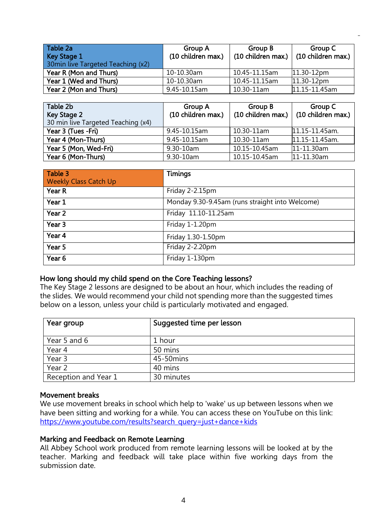| Table 2a<br>Key Stage 1<br>30 min live Targeted Teaching (x2) | <b>Group A</b><br>(10 children max.) | Group B       | Group C<br>$(10 \text{ children max.})$ (10 children max.) |
|---------------------------------------------------------------|--------------------------------------|---------------|------------------------------------------------------------|
| Year R (Mon and Thurs)                                        | 10-10.30am                           | 10.45-11.15am | $11.30 - 12pm$                                             |
| Year 1 (Wed and Thurs)                                        | 10-10.30am                           | 10.45-11.15am | $11.30 - 12pm$                                             |
| Year 2 (Mon and Thurs)                                        | 9.45-10.15am                         | 10.30-11am    | 11.15-11.45am                                              |

| Table 2b<br>Key Stage 2<br>30 min live Targeted Teaching (x4) | Group A<br>(10 children max.) | Group B<br>(10 children max.) | Group C<br>(10 children max.) |
|---------------------------------------------------------------|-------------------------------|-------------------------------|-------------------------------|
| Year 3 (Tues - Fri)                                           | 9.45-10.15am                  | 10.30-11am                    | 11.15-11.45am.                |
| Year 4 (Mon-Thurs)                                            | 9.45-10.15am                  | 10.30-11am                    | 11.15-11.45am.                |
| Year 5 (Mon, Wed-Fri)                                         | 9.30-10am                     | 10.15-10.45am                 | 11-11.30am                    |
| Year 6 (Mon-Thurs)                                            | 9.30-10am                     | 10.15-10.45am                 | 11-11.30am                    |

| Table 3                      | <b>Timings</b>                                  |
|------------------------------|-------------------------------------------------|
| <b>Weekly Class Catch Up</b> |                                                 |
| Year R                       | Friday 2-2.15pm                                 |
| Year 1                       | Monday 9.30-9.45am (runs straight into Welcome) |
| Year <sub>2</sub>            | Friday 11.10-11.25am                            |
| Year 3                       | Friday 1-1.20pm                                 |
| Year 4                       | Friday 1.30-1.50pm                              |
| Year 5                       | Friday 2-2.20pm                                 |
| Year 6                       | Friday 1-130pm                                  |

#### How long should my child spend on the Core Teaching lessons?

The Key Stage 2 lessons are designed to be about an hour, which includes the reading of the slides. We would recommend your child not spending more than the suggested times below on a lesson, unless your child is particularly motivated and engaged.

| Year group           | Suggested time per lesson |
|----------------------|---------------------------|
| Year 5 and 6         | 1 hour                    |
| Year 4               | 50 mins                   |
| Year 3               | 45-50 mins                |
| Year 2               | 40 mins                   |
| Reception and Year 1 | 30 minutes                |

#### Movement breaks

We use movement breaks in school which help to 'wake' us up between lessons when we have been sitting and working for a while. You can access these on YouTube on this link: [https://www.youtube.com/results?search\\_query=just+dance+kids](https://www.youtube.com/results?search_query=just+dance+kids)

#### Marking and Feedback on Remote Learning

All Abbey School work produced from remote learning lessons will be looked at by the teacher. Marking and feedback will take place within five working days from the submission date.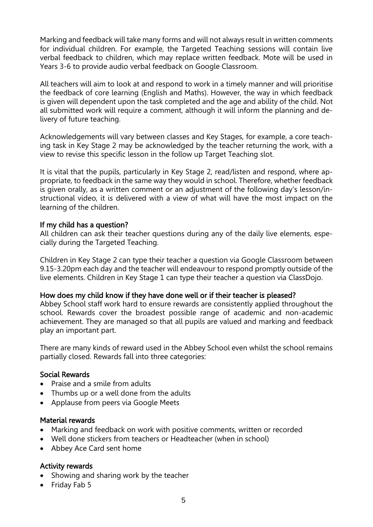Marking and feedback will take many forms and will not always result in written comments for individual children. For example, the Targeted Teaching sessions will contain live verbal feedback to children, which may replace written feedback. Mote will be used in Years 3-6 to provide audio verbal feedback on Google Classroom.

All teachers will aim to look at and respond to work in a timely manner and will prioritise the feedback of core learning (English and Maths). However, the way in which feedback is given will dependent upon the task completed and the age and ability of the child. Not all submitted work will require a comment, although it will inform the planning and delivery of future teaching.

Acknowledgements will vary between classes and Key Stages, for example, a core teaching task in Key Stage 2 may be acknowledged by the teacher returning the work, with a view to revise this specific lesson in the follow up Target Teaching slot.

It is vital that the pupils, particularly in Key Stage 2, read/listen and respond, where appropriate, to feedback in the same way they would in school. Therefore, whether feedback is given orally, as a written comment or an adjustment of the following day's lesson/instructional video, it is delivered with a view of what will have the most impact on the learning of the children.

## If my child has a question?

All children can ask their teacher questions during any of the daily live elements, especially during the Targeted Teaching.

Children in Key Stage 2 can type their teacher a question via Google Classroom between 9.15-3.20pm each day and the teacher will endeavour to respond promptly outside of the live elements. Children in Key Stage 1 can type their teacher a question via ClassDojo.

#### How does my child know if they have done well or if their teacher is pleased?

Abbey School staff work hard to ensure rewards are consistently applied throughout the school. Rewards cover the broadest possible range of academic and non-academic achievement. They are managed so that all pupils are valued and marking and feedback play an important part.

There are many kinds of reward used in the Abbey School even whilst the school remains partially closed. Rewards fall into three categories:

#### Social Rewards

- Praise and a smile from adults
- Thumbs up or a well done from the adults
- Applause from peers via Google Meets

#### Material rewards

- Marking and feedback on work with positive comments, written or recorded
- Well done stickers from teachers or Headteacher (when in school)
- Abbey Ace Card sent home

#### Activity rewards

- Showing and sharing work by the teacher
- Friday Fab 5